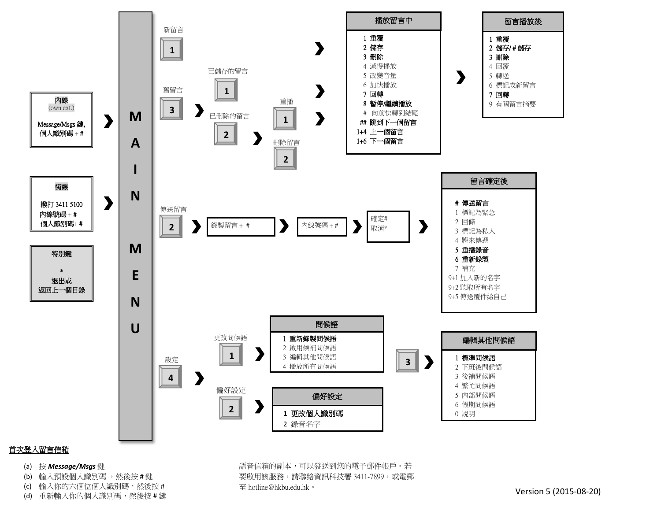

## 首次登入留言信箱

- (a) 按 *Message/Msgs* 鍵
- (b) 輸入預設個人識別碼 ,然後按 # 鍵
- (c) 輸入你的六個位個人識別碼,然後按 #
- (d) 重新輸入你的個人識別碼,然後按 # 鍵

語音信箱的副本,可以發送到您的電子郵件帳戶。若 要啟用該服務,請聯絡資訊科技署 3411-7899,或電郵 至 hotline@hkbu.edu.hk。

Version 5 (2015-08-20)